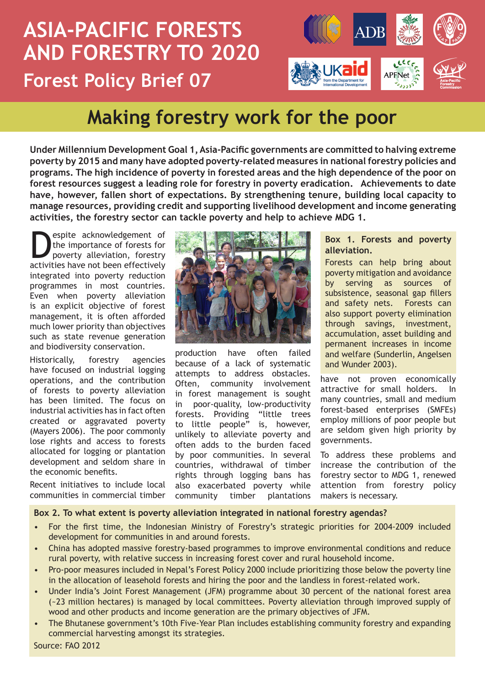# **ASIA-PACIFIC FORESTS AND FORESTRY TO 2020 Forest Policy Brief 07**



# **Making forestry work for the poor**

**Under Millennium Development Goal 1, Asia-Pacific governments are committed to halving extreme poverty by 2015 and many have adopted poverty-related measures in national forestry policies and programs. The high incidence of poverty in forested areas and the high dependence of the poor on forest resources suggest a leading role for forestry in poverty eradication. Achievements to date have, however, fallen short of expectations. By strengthening tenure, building local capacity to manage resources, providing credit and supporting livelihood development and income generating activities, the forestry sector can tackle poverty and help to achieve MDG 1.** 

Spite acknowledgement of<br>the importance of forests for<br>poverty alleviation, forestry<br>activities have not been effectively the importance of forests for poverty alleviation, forestry activities have not been effectively integrated into poverty reduction programmes in most countries. Even when poverty alleviation is an explicit objective of forest management, it is often afforded much lower priority than objectives such as state revenue generation and biodiversity conservation.

Historically, forestry agencies have focused on industrial logging operations, and the contribution of forests to poverty alleviation has been limited. The focus on industrial activities has in fact often created or aggravated poverty (Mayers 2006). The poor commonly lose rights and access to forests allocated for logging or plantation development and seldom share in the economic benefits.

Recent initiatives to include local communities in commercial timber



production have often failed because of a lack of systematic attempts to address obstacles. Often, community involvement in forest management is sought in poor-quality, low-productivity forests. Providing "little trees to little people" is, however, unlikely to alleviate poverty and often adds to the burden faced by poor communities. In several countries, withdrawal of timber rights through logging bans has also exacerbated poverty while community timber plantations

#### **Box 1. Forests and poverty alleviation.**

Forests can help bring about poverty mitigation and avoidance by serving as sources of subsistence, seasonal gap fillers and safety nets. Forests can also support poverty elimination through savings, investment, accumulation, asset building and permanent increases in income and welfare (Sunderlin, Angelsen and Wunder 2003).

have not proven economically attractive for small holders. In many countries, small and medium forest-based enterprises (SMFEs) employ millions of poor people but are seldom given high priority by governments.

To address these problems and increase the contribution of the forestry sector to MDG 1, renewed attention from forestry policy makers is necessary.

#### **Box 2. To what extent is poverty alleviation integrated in national forestry agendas?**

- For the first time, the Indonesian Ministry of Forestry's strategic priorities for 2004-2009 included development for communities in and around forests.
- China has adopted massive forestry-based programmes to improve environmental conditions and reduce rural poverty, with relative success in increasing forest cover and rural household income.
- Pro-poor measures included in Nepal's Forest Policy 2000 include prioritizing those below the poverty line in the allocation of leasehold forests and hiring the poor and the landless in forest-related work.
- Under India's Joint Forest Management (JFM) programme about 30 percent of the national forest area (~23 million hectares) is managed by local committees. Poverty alleviation through improved supply of wood and other products and income generation are the primary objectives of JFM.
- The Bhutanese government's 10th Five-Year Plan includes establishing community forestry and expanding commercial harvesting amongst its strategies.

Source: FAO 2012